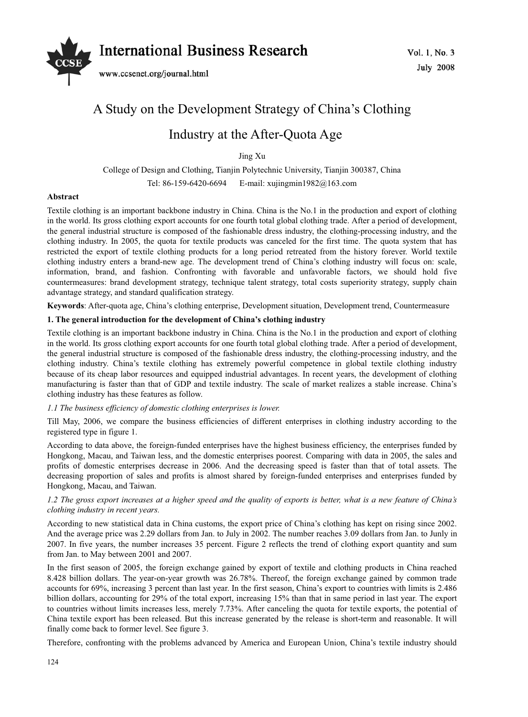

# A Study on the Development Strategy of China's Clothing

# Industry at the After-Quota Age

Jing Xu

College of Design and Clothing, Tianjin Polytechnic University, Tianjin 300387, China Tel: 86-159-6420-6694 E-mail: xujingmin1982@163.com

## **Abstract**

Textile clothing is an important backbone industry in China. China is the No.1 in the production and export of clothing in the world. Its gross clothing export accounts for one fourth total global clothing trade. After a period of development, the general industrial structure is composed of the fashionable dress industry, the clothing-processing industry, and the clothing industry. In 2005, the quota for textile products was canceled for the first time. The quota system that has restricted the export of textile clothing products for a long period retreated from the history forever. World textile clothing industry enters a brand-new age. The development trend of China's clothing industry will focus on: scale, information, brand, and fashion. Confronting with favorable and unfavorable factors, we should hold five countermeasures: brand development strategy, technique talent strategy, total costs superiority strategy, supply chain advantage strategy, and standard qualification strategy.

**Keywords**: After-quota age, China's clothing enterprise, Development situation, Development trend, Countermeasure

## **1. The general introduction for the development of China's clothing industry**

Textile clothing is an important backbone industry in China. China is the No.1 in the production and export of clothing in the world. Its gross clothing export accounts for one fourth total global clothing trade. After a period of development, the general industrial structure is composed of the fashionable dress industry, the clothing-processing industry, and the clothing industry. China's textile clothing has extremely powerful competence in global textile clothing industry because of its cheap labor resources and equipped industrial advantages. In recent years, the development of clothing manufacturing is faster than that of GDP and textile industry. The scale of market realizes a stable increase. China's clothing industry has these features as follow.

## *1.1 The business efficiency of domestic clothing enterprises is lower.*

Till May, 2006, we compare the business efficiencies of different enterprises in clothing industry according to the registered type in figure 1.

According to data above, the foreign-funded enterprises have the highest business efficiency, the enterprises funded by Hongkong, Macau, and Taiwan less, and the domestic enterprises poorest. Comparing with data in 2005, the sales and profits of domestic enterprises decrease in 2006. And the decreasing speed is faster than that of total assets. The decreasing proportion of sales and profits is almost shared by foreign-funded enterprises and enterprises funded by Hongkong, Macau, and Taiwan.

## *1.2 The gross export increases at a higher speed and the quality of exports is better, what is a new feature of China's clothing industry in recent years.*

According to new statistical data in China customs, the export price of China's clothing has kept on rising since 2002. And the average price was 2.29 dollars from Jan. to July in 2002. The number reaches 3.09 dollars from Jan. to Junly in 2007. In five years, the number increases 35 percent. Figure 2 reflects the trend of clothing export quantity and sum from Jan. to May between 2001 and 2007.

In the first season of 2005, the foreign exchange gained by export of textile and clothing products in China reached 8.428 billion dollars. The year-on-year growth was 26.78%. Thereof, the foreign exchange gained by common trade accounts for 69%, increasing 3 percent than last year. In the first season, China's export to countries with limits is 2.486 billion dollars, accounting for 29% of the total export, increasing 15% than that in same period in last year. The export to countries without limits increases less, merely 7.73%. After canceling the quota for textile exports, the potential of China textile export has been released. But this increase generated by the release is short-term and reasonable. It will finally come back to former level. See figure 3.

Therefore, confronting with the problems advanced by America and European Union, China's textile industry should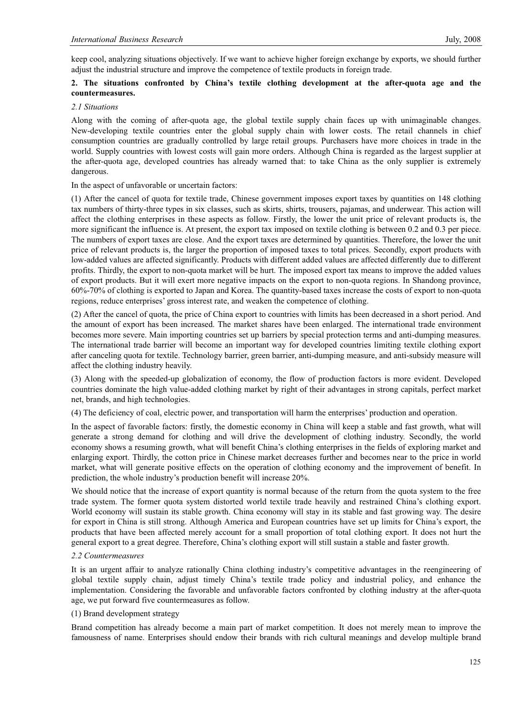keep cool, analyzing situations objectively. If we want to achieve higher foreign exchange by exports, we should further adjust the industrial structure and improve the competence of textile products in foreign trade.

# **2. The situations confronted by China's textile clothing development at the after-quota age and the countermeasures.**

#### *2.1 Situations*

Along with the coming of after-quota age, the global textile supply chain faces up with unimaginable changes. New-developing textile countries enter the global supply chain with lower costs. The retail channels in chief consumption countries are gradually controlled by large retail groups. Purchasers have more choices in trade in the world. Supply countries with lowest costs will gain more orders. Although China is regarded as the largest supplier at the after-quota age, developed countries has already warned that: to take China as the only supplier is extremely dangerous.

In the aspect of unfavorable or uncertain factors:

(1) After the cancel of quota for textile trade, Chinese government imposes export taxes by quantities on 148 clothing tax numbers of thirty-three types in six classes, such as skirts, shirts, trousers, pajamas, and underwear. This action will affect the clothing enterprises in these aspects as follow. Firstly, the lower the unit price of relevant products is, the more significant the influence is. At present, the export tax imposed on textile clothing is between 0.2 and 0.3 per piece. The numbers of export taxes are close. And the export taxes are determined by quantities. Therefore, the lower the unit price of relevant products is, the larger the proportion of imposed taxes to total prices. Secondly, export products with low-added values are affected significantly. Products with different added values are affected differently due to different profits. Thirdly, the export to non-quota market will be hurt. The imposed export tax means to improve the added values of export products. But it will exert more negative impacts on the export to non-quota regions. In Shandong province, 60%-70% of clothing is exported to Japan and Korea. The quantity-based taxes increase the costs of export to non-quota regions, reduce enterprises' gross interest rate, and weaken the competence of clothing.

(2) After the cancel of quota, the price of China export to countries with limits has been decreased in a short period. And the amount of export has been increased. The market shares have been enlarged. The international trade environment becomes more severe. Main importing countries set up barriers by special protection terms and anti-dumping measures. The international trade barrier will become an important way for developed countries limiting textile clothing export after canceling quota for textile. Technology barrier, green barrier, anti-dumping measure, and anti-subsidy measure will affect the clothing industry heavily.

(3) Along with the speeded-up globalization of economy, the flow of production factors is more evident. Developed countries dominate the high value-added clothing market by right of their advantages in strong capitals, perfect market net, brands, and high technologies.

(4) The deficiency of coal, electric power, and transportation will harm the enterprises' production and operation.

In the aspect of favorable factors: firstly, the domestic economy in China will keep a stable and fast growth, what will generate a strong demand for clothing and will drive the development of clothing industry. Secondly, the world economy shows a resuming growth, what will benefit China's clothing enterprises in the fields of exploring market and enlarging export. Thirdly, the cotton price in Chinese market decreases further and becomes near to the price in world market, what will generate positive effects on the operation of clothing economy and the improvement of benefit. In prediction, the whole industry's production benefit will increase 20%.

We should notice that the increase of export quantity is normal because of the return from the quota system to the free trade system. The former quota system distorted world textile trade heavily and restrained China's clothing export. World economy will sustain its stable growth. China economy will stay in its stable and fast growing way. The desire for export in China is still strong. Although America and European countries have set up limits for China's export, the products that have been affected merely account for a small proportion of total clothing export. It does not hurt the general export to a great degree. Therefore, China's clothing export will still sustain a stable and faster growth.

#### *2.2 Countermeasures*

It is an urgent affair to analyze rationally China clothing industry's competitive advantages in the reengineering of global textile supply chain, adjust timely China's textile trade policy and industrial policy, and enhance the implementation. Considering the favorable and unfavorable factors confronted by clothing industry at the after-quota age, we put forward five countermeasures as follow.

#### (1) Brand development strategy

Brand competition has already become a main part of market competition. It does not merely mean to improve the famousness of name. Enterprises should endow their brands with rich cultural meanings and develop multiple brand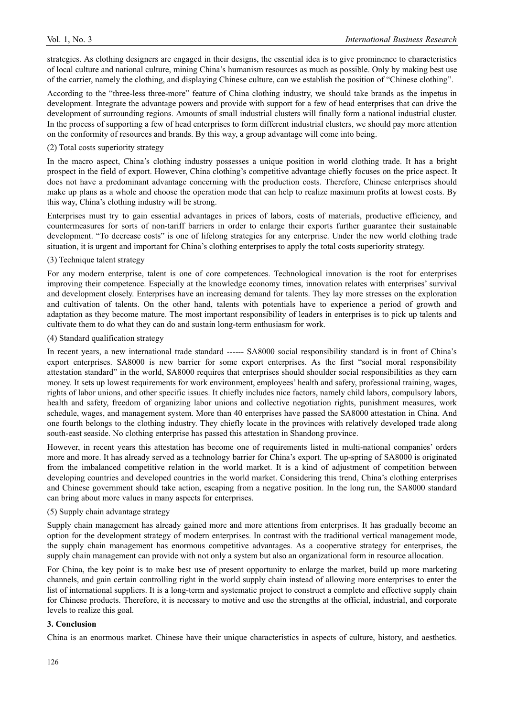strategies. As clothing designers are engaged in their designs, the essential idea is to give prominence to characteristics of local culture and national culture, mining China's humanism resources as much as possible. Only by making best use of the carrier, namely the clothing, and displaying Chinese culture, can we establish the position of "Chinese clothing".

According to the "three-less three-more" feature of China clothing industry, we should take brands as the impetus in development. Integrate the advantage powers and provide with support for a few of head enterprises that can drive the development of surrounding regions. Amounts of small industrial clusters will finally form a national industrial cluster. In the process of supporting a few of head enterprises to form different industrial clusters, we should pay more attention on the conformity of resources and brands. By this way, a group advantage will come into being.

#### (2) Total costs superiority strategy

In the macro aspect, China's clothing industry possesses a unique position in world clothing trade. It has a bright prospect in the field of export. However, China clothing's competitive advantage chiefly focuses on the price aspect. It does not have a predominant advantage concerning with the production costs. Therefore, Chinese enterprises should make up plans as a whole and choose the operation mode that can help to realize maximum profits at lowest costs. By this way, China's clothing industry will be strong.

Enterprises must try to gain essential advantages in prices of labors, costs of materials, productive efficiency, and countermeasures for sorts of non-tariff barriers in order to enlarge their exports further guarantee their sustainable development. "To decrease costs" is one of lifelong strategies for any enterprise. Under the new world clothing trade situation, it is urgent and important for China's clothing enterprises to apply the total costs superiority strategy.

### (3) Technique talent strategy

For any modern enterprise, talent is one of core competences. Technological innovation is the root for enterprises improving their competence. Especially at the knowledge economy times, innovation relates with enterprises' survival and development closely. Enterprises have an increasing demand for talents. They lay more stresses on the exploration and cultivation of talents. On the other hand, talents with potentials have to experience a period of growth and adaptation as they become mature. The most important responsibility of leaders in enterprises is to pick up talents and cultivate them to do what they can do and sustain long-term enthusiasm for work.

#### (4) Standard qualification strategy

In recent years, a new international trade standard ------ SA8000 social responsibility standard is in front of China's export enterprises. SA8000 is new barrier for some export enterprises. As the first "social moral responsibility attestation standard" in the world, SA8000 requires that enterprises should shoulder social responsibilities as they earn money. It sets up lowest requirements for work environment, employees' health and safety, professional training, wages, rights of labor unions, and other specific issues. It chiefly includes nice factors, namely child labors, compulsory labors, health and safety, freedom of organizing labor unions and collective negotiation rights, punishment measures, work schedule, wages, and management system. More than 40 enterprises have passed the SA8000 attestation in China. And one fourth belongs to the clothing industry. They chiefly locate in the provinces with relatively developed trade along south-east seaside. No clothing enterprise has passed this attestation in Shandong province.

However, in recent years this attestation has become one of requirements listed in multi-national companies' orders more and more. It has already served as a technology barrier for China's export. The up-spring of SA8000 is originated from the imbalanced competitive relation in the world market. It is a kind of adjustment of competition between developing countries and developed countries in the world market. Considering this trend, China's clothing enterprises and Chinese government should take action, escaping from a negative position. In the long run, the SA8000 standard can bring about more values in many aspects for enterprises.

### (5) Supply chain advantage strategy

Supply chain management has already gained more and more attentions from enterprises. It has gradually become an option for the development strategy of modern enterprises. In contrast with the traditional vertical management mode, the supply chain management has enormous competitive advantages. As a cooperative strategy for enterprises, the supply chain management can provide with not only a system but also an organizational form in resource allocation.

For China, the key point is to make best use of present opportunity to enlarge the market, build up more marketing channels, and gain certain controlling right in the world supply chain instead of allowing more enterprises to enter the list of international suppliers. It is a long-term and systematic project to construct a complete and effective supply chain for Chinese products. Therefore, it is necessary to motive and use the strengths at the official, industrial, and corporate levels to realize this goal.

### **3. Conclusion**

China is an enormous market. Chinese have their unique characteristics in aspects of culture, history, and aesthetics.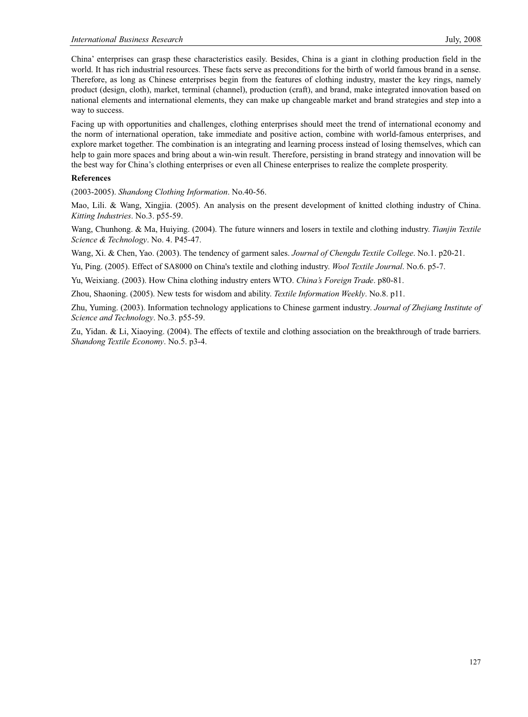China' enterprises can grasp these characteristics easily. Besides, China is a giant in clothing production field in the world. It has rich industrial resources. These facts serve as preconditions for the birth of world famous brand in a sense. Therefore, as long as Chinese enterprises begin from the features of clothing industry, master the key rings, namely product (design, cloth), market, terminal (channel), production (craft), and brand, make integrated innovation based on national elements and international elements, they can make up changeable market and brand strategies and step into a way to success.

Facing up with opportunities and challenges, clothing enterprises should meet the trend of international economy and the norm of international operation, take immediate and positive action, combine with world-famous enterprises, and explore market together. The combination is an integrating and learning process instead of losing themselves, which can help to gain more spaces and bring about a win-win result. Therefore, persisting in brand strategy and innovation will be the best way for China's clothing enterprises or even all Chinese enterprises to realize the complete prosperity.

### **References**

(2003-2005). *Shandong Clothing Information*. No.40-56.

Mao, Lili. & Wang, Xingjia. (2005). An analysis on the present development of knitted clothing industry of China. *Kitting Industries*. No.3. p55-59.

Wang, Chunhong. & Ma, Huiying. (2004). The future winners and losers in textile and clothing industry. *Tianjin Textile Science & Technology*. No. 4. P45-47.

Wang, Xi. & Chen, Yao. (2003). The tendency of garment sales. *Journal of Chengdu Textile College*. No.1. p20-21.

Yu, Ping. (2005). Effect of SA8000 on China's textile and clothing industry. *Wool Textile Journal*. No.6. p5-7.

Yu, Weixiang. (2003). How China clothing industry enters WTO. *China's Foreign Trade*. p80-81.

Zhou, Shaoning. (2005). New tests for wisdom and ability. *Textile Information Weekly*. No.8. p11.

Zhu, Yuming. (2003). Information technology applications to Chinese garment industry. *Journal of Zhejiang Institute of Science and Technology*. No.3. p55-59.

Zu, Yidan. & Li, Xiaoying. (2004). The effects of textile and clothing association on the breakthrough of trade barriers. *Shandong Textile Economy*. No.5. p3-4.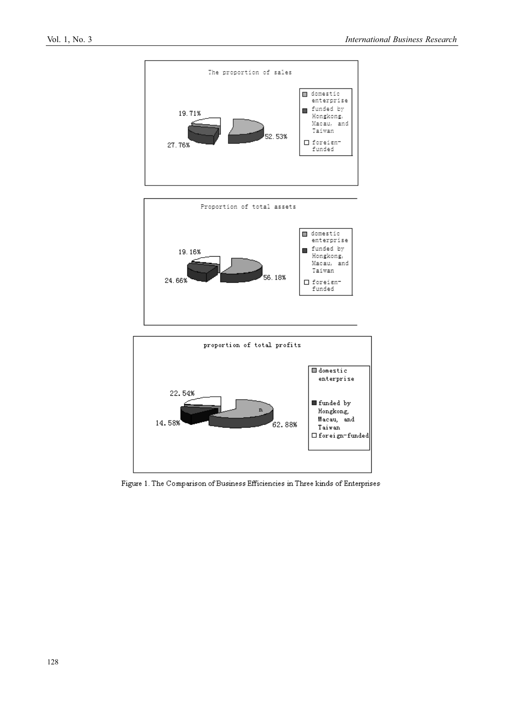



Figure 1. The Comparison of Business Efficiencies in Three kinds of Enterprises